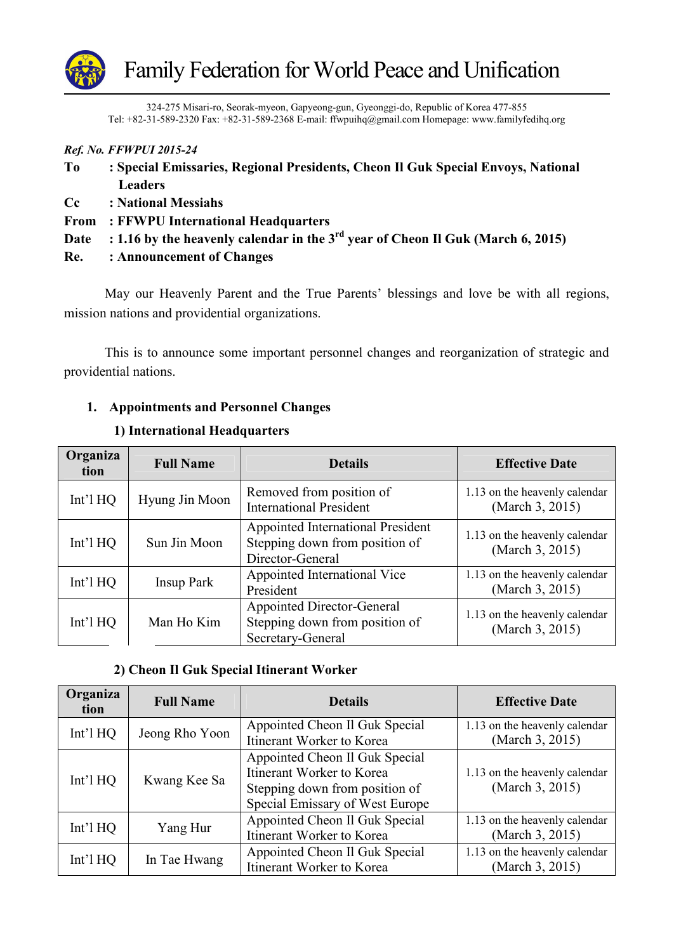

324-275 Misari-ro, Seorak-myeon, Gapyeong-gun, Gyeonggi-do, Republic of Korea 477-855 Tel: +82-31-589-2320 Fax: +82-31-589-2368 E-mail: ffwpuihq@gmail.com Homepage: www.familyfedihq.org

|            | Ref. No. FFWPUI 2015-24                                                              |
|------------|--------------------------------------------------------------------------------------|
| To         | : Special Emissaries, Regional Presidents, Cheon Il Guk Special Envoys, National     |
|            | <b>Leaders</b>                                                                       |
| $\bf{C}$ c | : National Messiahs                                                                  |
|            | From : FFWPU International Headquarters                                              |
| Date       | : 1.16 by the heavenly calendar in the $3^{rd}$ year of Cheon Il Guk (March 6, 2015) |
| Re.        | : Announcement of Changes                                                            |

May our Heavenly Parent and the True Parents' blessings and love be with all regions, mission nations and providential organizations.

This is to announce some important personnel changes and reorganization of strategic and providential nations.

## **1. Appointments and Personnel Changes**

| Organiza<br>tion | <b>Full Name</b>  | <b>Details</b>                                                                           | <b>Effective Date</b>                            |
|------------------|-------------------|------------------------------------------------------------------------------------------|--------------------------------------------------|
| Int'l $HQ$       | Hyung Jin Moon    | Removed from position of<br><b>International President</b>                               | 1.13 on the heavenly calendar<br>(March 3, 2015) |
| Int'l $HQ$       | Sun Jin Moon      | Appointed International President<br>Stepping down from position of<br>Director-General  | 1.13 on the heavenly calendar<br>(March 3, 2015) |
| Int'l $HQ$       | <b>Insup Park</b> | Appointed International Vice<br>President                                                | 1.13 on the heavenly calendar<br>(March 3, 2015) |
| Int'l $HQ$       | Man Ho Kim        | <b>Appointed Director-General</b><br>Stepping down from position of<br>Secretary-General | 1.13 on the heavenly calendar<br>(March 3, 2015) |

#### **1) International Headquarters**

# **2) Cheon Il Guk Special Itinerant Worker**

| Organiza<br>tion | <b>Full Name</b> | <b>Details</b>                                                                                                                   | <b>Effective Date</b>                            |
|------------------|------------------|----------------------------------------------------------------------------------------------------------------------------------|--------------------------------------------------|
| Int'l $HQ$       | Jeong Rho Yoon   | Appointed Cheon Il Guk Special<br>Itinerant Worker to Korea                                                                      | 1.13 on the heavenly calendar<br>(March 3, 2015) |
| Int'l $HQ$       | Kwang Kee Sa     | Appointed Cheon Il Guk Special<br>Itinerant Worker to Korea<br>Stepping down from position of<br>Special Emissary of West Europe | 1.13 on the heavenly calendar<br>(March 3, 2015) |
| Int'l $HQ$       | Yang Hur         | Appointed Cheon Il Guk Special<br>Itinerant Worker to Korea                                                                      | 1.13 on the heavenly calendar<br>(March 3, 2015) |
| Int'l $HQ$       | In Tae Hwang     | Appointed Cheon Il Guk Special<br>Itinerant Worker to Korea                                                                      | 1.13 on the heavenly calendar<br>(March 3, 2015) |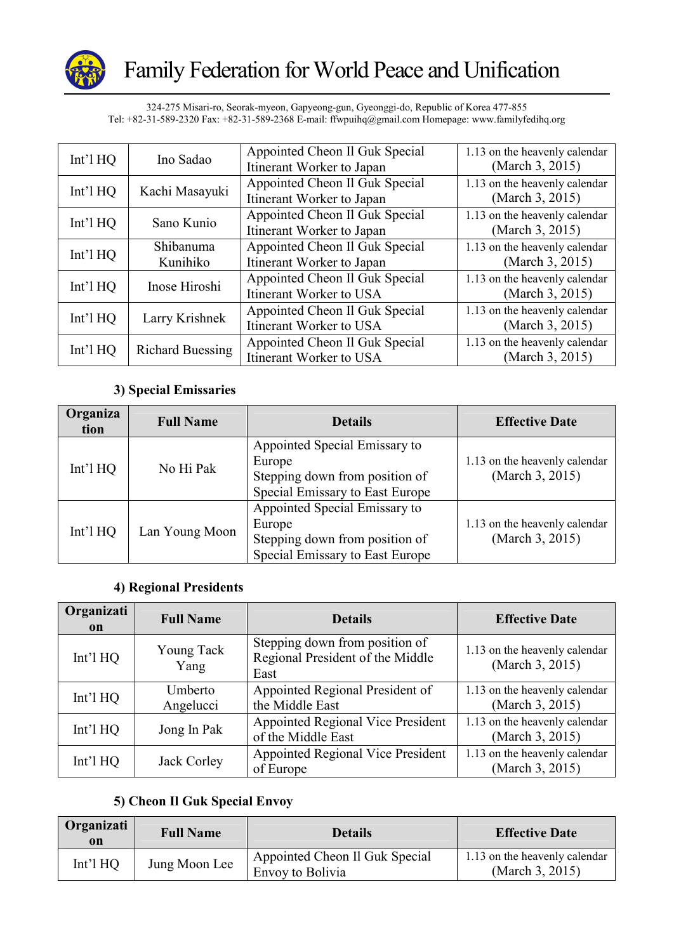

324-275 Misari-ro, Seorak-myeon, Gapyeong-gun, Gyeonggi-do, Republic of Korea 477-855 Tel: +82-31-589-2320 Fax: +82-31-589-2368 E-mail: ffwpuihq@gmail.com Homepage: www.familyfedihq.org

| Int'l $HQ$ | Ino Sadao               | Appointed Cheon Il Guk Special<br>Itinerant Worker to Japan | 1.13 on the heavenly calendar<br>(March 3, 2015) |
|------------|-------------------------|-------------------------------------------------------------|--------------------------------------------------|
| Int'l $HQ$ | Kachi Masayuki          | Appointed Cheon Il Guk Special<br>Itinerant Worker to Japan | 1.13 on the heavenly calendar<br>(March 3, 2015) |
| Int'l $HQ$ | Sano Kunio              | Appointed Cheon Il Guk Special<br>Itinerant Worker to Japan | 1.13 on the heavenly calendar<br>(March 3, 2015) |
| $Int'1$ HQ | Shibanuma<br>Kunihiko   | Appointed Cheon Il Guk Special<br>Itinerant Worker to Japan | 1.13 on the heavenly calendar<br>(March 3, 2015) |
| $Int'1$ HQ | Inose Hiroshi           | Appointed Cheon Il Guk Special<br>Itinerant Worker to USA   | 1.13 on the heavenly calendar<br>(March 3, 2015) |
| $Int'1$ HQ | Larry Krishnek          | Appointed Cheon Il Guk Special<br>Itinerant Worker to USA   | 1.13 on the heavenly calendar<br>(March 3, 2015) |
| $Int'1$ HQ | <b>Richard Buessing</b> | Appointed Cheon Il Guk Special<br>Itinerant Worker to USA   | 1.13 on the heavenly calendar<br>(March 3, 2015) |

#### **3) Special Emissaries**

| Organiza<br>tion | <b>Full Name</b> | <b>Details</b>                                                                                               | <b>Effective Date</b>                            |
|------------------|------------------|--------------------------------------------------------------------------------------------------------------|--------------------------------------------------|
| $Int'1$ HQ       | No Hi Pak        | Appointed Special Emissary to<br>Europe<br>Stepping down from position of<br>Special Emissary to East Europe | 1.13 on the heavenly calendar<br>(March 3, 2015) |
| Int'l $HQ$       | Lan Young Moon   | Appointed Special Emissary to<br>Europe<br>Stepping down from position of<br>Special Emissary to East Europe | 1.13 on the heavenly calendar<br>(March 3, 2015) |

## **4) Regional Presidents**

| Organizati<br>on | <b>Full Name</b>     | <b>Details</b>                                                             | <b>Effective Date</b>                            |
|------------------|----------------------|----------------------------------------------------------------------------|--------------------------------------------------|
| Int'l $HQ$       | Young Tack<br>Yang   | Stepping down from position of<br>Regional President of the Middle<br>East | 1.13 on the heavenly calendar<br>(March 3, 2015) |
| Int'l $HQ$       | Umberto<br>Angelucci | Appointed Regional President of<br>the Middle East                         | 1.13 on the heavenly calendar<br>(March 3, 2015) |
| Int'l $HQ$       | Jong In Pak          | Appointed Regional Vice President<br>of the Middle East                    | 1.13 on the heavenly calendar<br>(March 3, 2015) |
| Int'l $HQ$       | Jack Corley          | Appointed Regional Vice President<br>of Europe                             | 1.13 on the heavenly calendar<br>(March 3, 2015) |

## **5) Cheon Il Guk Special Envoy**

| Organizati<br>on | <b>Full Name</b> | <b>Details</b>                                            | <b>Effective Date</b>                            |
|------------------|------------------|-----------------------------------------------------------|--------------------------------------------------|
| $Int'1$ HQ       | Jung Moon Lee    | Appointed Cheon Il Guk Special<br><b>Envoy to Bolivia</b> | 1.13 on the heavenly calendar<br>(March 3, 2015) |